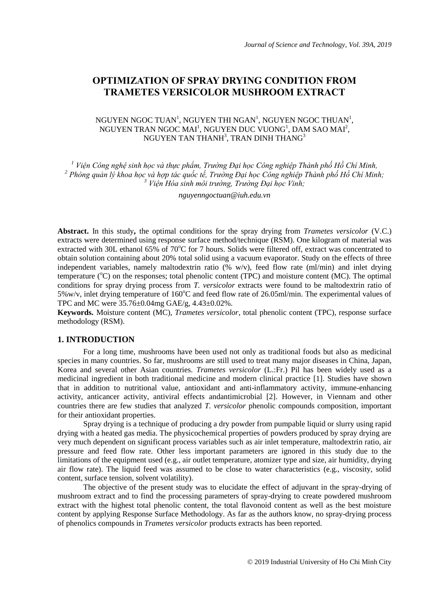# **OPTIMIZATION OF SPRAY DRYING CONDITION FROM TRAMETES VERSICOLOR MUSHROOM EXTRACT**

## NGUYEN NGOC TUAN<sup>1</sup>, NGUYEN THI NGAN<sup>1</sup>, NGUYEN NGOC THUAN<sup>1</sup>, NGUYEN TRAN NGOC MAI<sup>1</sup>, NGUYEN DUC VUONG<sup>1</sup>, DAM SAO MAI<sup>2</sup>, NGUYEN TAN THANH $^3$ , TRAN DINH THANG $^3$

*<sup>1</sup> Viện Công nghệ sinh học và thực phẩm, Trường Đại học Công nghiệp Thành phố Hồ Chí Minh, 2 Phòng quản lý khoa học và hợp tác quốc tế, Trường Đại học Công nghiệp Thành phố Hồ Chí Minh; <sup>3</sup> Viện Hóa sinh môi trường, Trường Đại học Vinh;*

*nguyenngoctuan@iuh.edu.vn*

**Abstract.** In this study**,** the optimal conditions for the spray drying from *Trametes versicolor* (V.C.) extracts were determined using response surface method/technique (RSM). One kilogram of material was extracted with 30L ethanol 65% of 70°C for 7 hours. Solids were filtered off, extract was concentrated to obtain solution containing about 20% total solid using a vacuum evaporator. Study on the effects of three independent variables, namely maltodextrin ratio (% w/v), feed flow rate (ml/min) and inlet drying temperature ( $^{\circ}$ C) on the responses; total phenolic content (TPC) and moisture content (MC). The optimal conditions for spray drying process from *T. versicolor* extracts were found to be maltodextrin ratio of 5%w/v, inlet drying temperature of 160 $^{\circ}$ C and feed flow rate of 26.05ml/min. The experimental values of TPC and MC were 35.76±0.04mg GAE/g, 4.43±0.02%.

**Keywords.** Moisture content (MC), *Trametes versicolor*, total phenolic content (TPC), response surface methodology (RSM).

## **1. INTRODUCTION**

For a long time, mushrooms have been used not only as traditional foods but also as medicinal species in many countries. So far, mushrooms are still used to treat many major diseases in China, Japan, Korea and several other Asian countries. *Trametes versicolor* (L.:Fr.) Pil has been widely used as a medicinal ingredient in both traditional medicine and modern clinical practice [1]. Studies have shown that in addition to nutritional value, antioxidant and anti-inflammatory activity, immune-enhancing activity, anticancer activity, antiviral effects andantimicrobial [2]. However, in Viennam and other countries there are few studies that analyzed *T. versicolor* phenolic compounds composition, important for their antioxidant properties.

Spray drying is a technique of producing a dry powder from pumpable liquid or slurry using rapid drying with a heated gas media. The physicochemical properties of powders produced by spray drying are very much dependent on significant process variables such as air inlet temperature, maltodextrin ratio, air pressure and feed flow rate. Other less important parameters are ignored in this study due to the limitations of the equipment used (e.g., air outlet temperature, atomizer type and size, air humidity, drying air flow rate). The liquid feed was assumed to be close to water characteristics (e.g., viscosity, solid content, surface tension, solvent volatility).

The objective of the present study was to elucidate the effect of adjuvant in the spray-drying of mushroom extract and to find the processing parameters of spray-drying to create powdered mushroom extract with the highest total phenolic content, the total flavonoid content as well as the best moisture content by applying Response Surface Methodology. As far as the authors know, no spray-drying process of phenolics compounds in *Trametes versicolor* products extracts has been reported.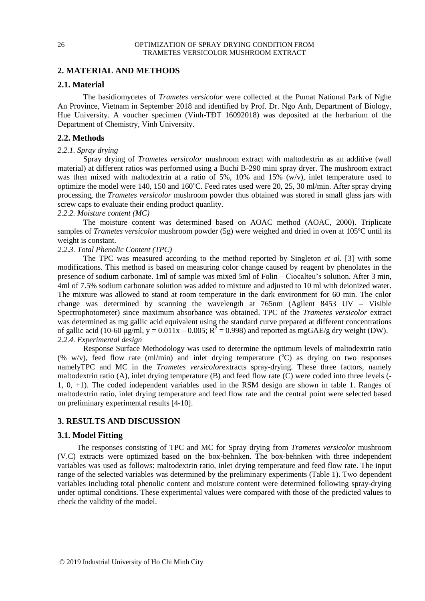## **2. MATERIAL AND METHODS**

## **2.1. Material**

The basidiomycetes of *Trametes versicolor* were collected at the Pumat National Park of Nghe An Province, Vietnam in September 2018 and identified by Prof. Dr. Ngo Anh, Department of Biology, Hue University. A voucher specimen (Vinh-TĐT 16092018) was deposited at the herbarium of the Department of Chemistry, Vinh University.

## **2.2. Methods**

## *2.2.1. Spray drying*

Spray drying of *Trametes versicolor* mushroom extract with maltodextrin as an additive (wall material) at different ratios was performed using a Buchi B-290 mini spray dryer. The mushroom extract was then mixed with maltodextrin at a ratio of 5%, 10% and 15% (w/v), inlet temperature used to optimize the model were 140, 150 and 160°C. Feed rates used were 20, 25, 30 ml/min. After spray drying processing, the *Trametes versicolor* mushroom powder thus obtained was stored in small glass jars with screw caps to evaluate their ending product quanlity.

### *2.2.2. Moisture content (MC)*

The moisture content was determined based on AOAC method (AOAC, 2000). Triplicate samples of *Trametes versicolor* mushroom powder (5g) were weighed and dried in oven at 105ºC until its weight is constant.

## *2.2.3. Total Phenolic Content (TPC)*

The TPC was measured according to the method reported by Singleton *et al.* [3] with some modifications. This method is based on measuring color change caused by reagent by phenolates in the presence of sodium carbonate. 1ml of sample was mixed 5ml of Folin – Ciocalteu's solution. After 3 min, 4ml of 7.5% sodium carbonate solution was added to mixture and adjusted to 10 ml with deionized water. The mixture was allowed to stand at room temperature in the dark environment for 60 min. The color change was determined by scanning the wavelength at 765nm (Agilent 8453 UV – Visible Spectrophotometer) since maximum absorbance was obtained. TPC of the *Trametes versicolor* extract was determined as mg gallic acid equivalent using the standard curve prepared at different concentrations of gallic acid (10-60  $\mu$ g/ml, y = 0.011x – 0.005; R<sup>2</sup> = 0.998) and reported as mgGAE/g dry weight (DW). *2.2.4. Experimental design*

Response Surface Methodology was used to determine the optimum levels of maltodextrin ratio (% w/v), feed flow rate (ml/min) and inlet drying temperature ( $^{\circ}$ C) as drying on two responses namelyTPC and MC in the *Trametes versicolor*extracts spray-drying. These three factors, namely maltodextrin ratio (A), inlet drying temperature (B) and feed flow rate (C) were coded into three levels (- 1, 0, +1). The coded independent variables used in the RSM design are shown in table 1. Ranges of maltodextrin ratio, inlet drying temperature and feed flow rate and the central point were selected based on preliminary experimental results [4-10].

## **3. RESULTS AND DISCUSSION**

## **3.1. Model Fitting**

The responses consisting of TPC and MC for Spray drying from *Trametes versicolor* mushroom (V.C) extracts were optimized based on the box-behnken. The box-behnken with three independent variables was used as follows: maltodextrin ratio, inlet drying temperature and feed flow rate. The input range of the selected variables was determined by the preliminary experiments (Table 1). Two dependent variables including total phenolic content and moisture content were determined following spray-drying under optimal conditions. These experimental values were compared with those of the predicted values to check the validity of the model.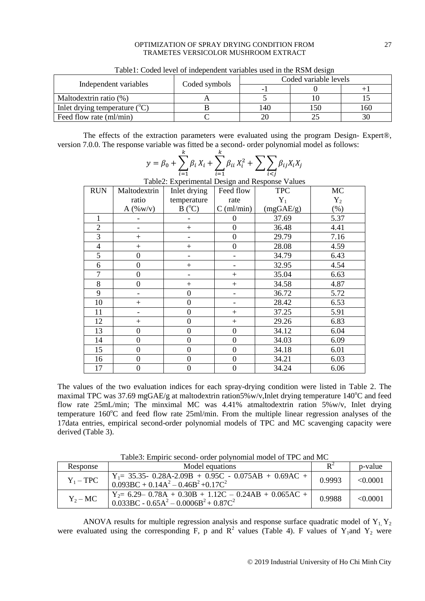#### OPTIMIZATION OF SPRAY DRYING CONDITION FROM 27 TRAMETES VERSICOLOR MUSHROOM EXTRACT

| Independent variables                    | Coded symbols | Coded variable levels |      |     |
|------------------------------------------|---------------|-----------------------|------|-----|
|                                          |               |                       |      |     |
| Maltodextrin ratio (%)                   |               |                       |      |     |
| Inlet drying temperature $({}^{\circ}C)$ |               | 140                   | l 50 | 160 |
| Feed flow rate (ml/min)                  |               |                       |      |     |

Table1: Coded level of independent variables used in the RSM design

The effects of the extraction parameters were evaluated using the program Design- Expert®, version 7.0.0. The response variable was fitted be a second- order polynomial model as follows:

> $X_i^2 + \sum \beta$ i

| Table2: Experimental Design and Response Values |                  |                  |                                   |            |         |  |
|-------------------------------------------------|------------------|------------------|-----------------------------------|------------|---------|--|
| <b>RUN</b>                                      | Maltodextrin     | Inlet drying     | Feed flow                         | <b>TPC</b> | MC      |  |
|                                                 | ratio            | temperature      | rate                              | $Y_1$      | $Y_2$   |  |
|                                                 | $A($ %w/v $)$    | $B(^{\circ}C)$   | $C \left( \frac{ml}{min} \right)$ | (mgGAE/g)  | $(\% )$ |  |
| $\mathbf{1}$                                    |                  |                  | 0                                 | 37.69      | 5.37    |  |
| $\overline{2}$                                  |                  | $+$              | $\boldsymbol{0}$                  | 36.48      | 4.41    |  |
| 3                                               | $^{+}$           |                  | $\boldsymbol{0}$                  | 29.79      | 7.16    |  |
| $\overline{4}$                                  | $^{+}$           | $^{+}$           | $\boldsymbol{0}$                  | 28.08      | 4.59    |  |
| 5                                               | $\boldsymbol{0}$ |                  |                                   | 34.79      | 6.43    |  |
| 6                                               | $\boldsymbol{0}$ | $^{+}$           |                                   | 32.95      | 4.54    |  |
| 7                                               | $\boldsymbol{0}$ |                  | $^{+}$                            | 35.04      | 6.63    |  |
| 8                                               | $\boldsymbol{0}$ | $^{+}$           | $^{+}$                            | 34.58      | 4.87    |  |
| 9                                               |                  | $\boldsymbol{0}$ |                                   | 36.72      | 5.72    |  |
| 10                                              | $+$              | $\overline{0}$   |                                   | 28.42      | 6.53    |  |
| 11                                              |                  | $\boldsymbol{0}$ | $^{+}$                            | 37.25      | 5.91    |  |
| 12                                              | $^{+}$           | $\boldsymbol{0}$ | $+$                               | 29.26      | 6.83    |  |
| 13                                              | $\boldsymbol{0}$ | $\overline{0}$   | $\boldsymbol{0}$                  | 34.12      | 6.04    |  |
| 14                                              | $\boldsymbol{0}$ | $\boldsymbol{0}$ | $\boldsymbol{0}$                  | 34.03      | 6.09    |  |
| 15                                              | $\mathbf{0}$     | $\overline{0}$   | $\boldsymbol{0}$                  | 34.18      | 6.01    |  |
| 16                                              | $\boldsymbol{0}$ | $\overline{0}$   | $\boldsymbol{0}$                  | 34.21      | 6.03    |  |
| 17                                              | $\boldsymbol{0}$ | $\boldsymbol{0}$ | $\boldsymbol{0}$                  | 34.24      | 6.06    |  |

i Table2: Experimental Design and Response Values

 $X_i + \sum \beta$  $\boldsymbol{k}$ 

 $y = \beta_0 + \sum \beta$ 

 $\boldsymbol{k}$ 

i

The values of the two evaluation indices for each spray-drying condition were listed in Table 2. The maximal TPC was 37.69 mgGAE/g at maltodextrin ration5%w/v, Inlet drying temperature  $140^{\circ}$ C and feed flow rate 25mL/min; The minximal MC was 4.41% atmaltodextrin ration 5%w/v, Inlet drying temperature 160°C and feed flow rate 25ml/min. From the multiple linear regression analyses of the 17data entries, empirical second-order polynomial models of TPC and MC scavenging capacity were derived (Table 3).

| Response    | Model equations                                                                                                                    |        | p-value  |  |  |  |
|-------------|------------------------------------------------------------------------------------------------------------------------------------|--------|----------|--|--|--|
| $Y_1 - TPC$ | $Y_1 = 35.35 - 0.28A - 2.09B + 0.95C - 0.075AB + 0.69AC +$<br>$0.093BC + 0.14A^2 - 0.46B^2 + 0.17C^2$                              | 0.9993 | < 0.0001 |  |  |  |
| $Y_2 - MC$  | $Y_2 = 6.29 - 0.78A + 0.30B + 1.12C - 0.24AB + 0.065AC +$<br>$0.033\text{BC} - 0.65\text{A}^2 - 0.0006\text{B}^2 + 0.87\text{C}^2$ | 0.9988 | < 0.0001 |  |  |  |

Table3: Empiric second- order polynomial model of TPC and MC

ANOVA results for multiple regression analysis and response surface quadratic model of  $Y_1, Y_2$ were evaluated using the corresponding F, p and  $\mathbb{R}^2$  values (Table 4). F values of Y<sub>1</sub>and Y<sub>2</sub> were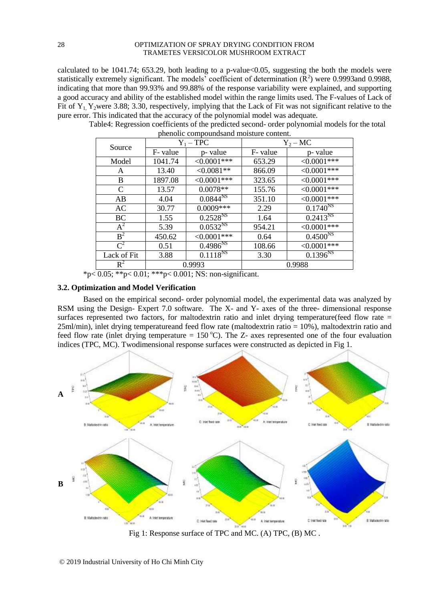#### 28 OPTIMIZATION OF SPRAY DRYING CONDITION FROM TRAMETES VERSICOLOR MUSHROOM EXTRACT

calculated to be 1041.74; 653.29, both leading to a p-value<0.05, suggesting the both the models were statistically extremely significant. The models' coefficient of determination  $(R^2)$  were 0.9993and 0.9988, indicating that more than 99.93% and 99.88% of the response variability were explained, and supporting a good accuracy and ability of the established model within the range limits used. The F-values of Lack of Fit of  $Y_1$ , Y<sub>2</sub>were 3.88; 3.30, respectively, implying that the Lack of Fit was not significant relative to the pure error. This indicated that the accuracy of the polynomial model was adequate.

| Source      | $Y_1 - TPC$ |                          | $Y_2-MC$ |                          |  |
|-------------|-------------|--------------------------|----------|--------------------------|--|
|             | F- value    | p- value                 | F- value | p- value                 |  |
| Model       | 1041.74     | $<0.0001***$             | 653.29   | $<0.0001***$             |  |
| A           | 13.40       | $<0.0081**$              | 866.09   | $<0.0001***$             |  |
| B           | 1897.08     | $<0.0001***$             | 323.65   | $<0.0001***$             |  |
| C           | 13.57       | $0.0078**$               | 155.76   | $<0.0001***$             |  |
| AB          | 4.04        | $0.0844^{N5}$            | 351.10   | $<0.0001***$             |  |
| AC          | 30.77       | $0.0009***$              | 2.29     | $0.1740^{NS}$            |  |
| <b>BC</b>   | 1.55        | $0.2528^{NS}$            | 1.64     | $0.24\overline{13^{NS}}$ |  |
| $A^2$       | 5.39        | $0.05\overline{32}^{NS}$ | 954.21   | $<0.0001***$             |  |
| $B^2$       | 450.62      | $<0.0001***$             | 0.64     | $0.4500^{N_S}$           |  |
| $C^2$       | 0.51        | $0.4986^{NS}$            | 108.66   | $<0.0001***$             |  |
| Lack of Fit | 3.88        | $0.1118^{NS}$            | 3.30     | $0.1396^{NS}$            |  |
| $R^2$       | 0.9993      |                          | 0.9988   |                          |  |

Table4: Regression coefficients of the predicted second- order polynomial models for the total phenolic compoundsand moisture content.

 $*p< 0.05$ ;  $*p< 0.01$ ;  $**p< 0.001$ ; NS: non-significant.

### **3.2. Optimization and Model Verification**

Based on the empirical second- order polynomial model, the experimental data was analyzed by RSM using the Design- Expert 7.0 software. The X- and Y- axes of the three- dimensional response surfaces represented two factors, for maltodextrin ratio and inlet drying temperature(feed flow rate = 25ml/min), inlet drying temperatureand feed flow rate (maltodextrin ratio = 10%), maltodextrin ratio and feed flow rate (inlet drying temperature =  $150^{\circ}$ C). The Z- axes represented one of the four evaluation indices (TPC, MC). Twodimensional response surfaces were constructed as depicted in Fig 1.



Fig 1: Response surface of TPC and MC. (A) TPC, (B) MC .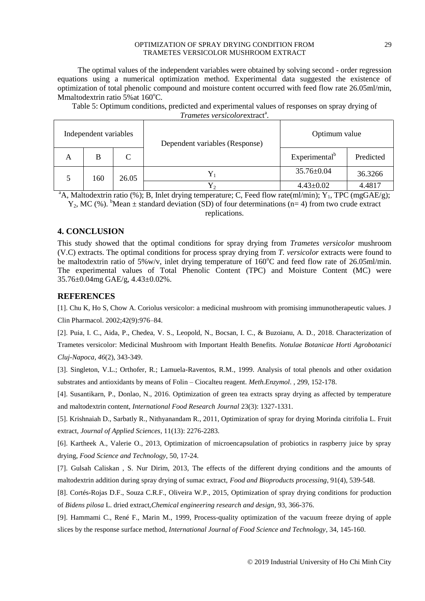#### OPTIMIZATION OF SPRAY DRYING CONDITION FROM 29 TRAMETES VERSICOLOR MUSHROOM EXTRACT

The optimal values of the independent variables were obtained by solving second - order regression equations using a numerical optimization method. Experimental data suggested the existence of optimization of total phenolic compound and moisture content occurred with feed flow rate 26.05ml/min, Mmaltodextrin ratio 5% at  $160^{\circ}$ C.

Table 5: Optimum conditions, predicted and experimental values of responses on spray drying of Trametes versicolorextract<sup>a</sup>.

|   | Independent variables |               | Dependent variables (Response) | Optimum value             |           |  |
|---|-----------------------|---------------|--------------------------------|---------------------------|-----------|--|
| A | B                     | $\mathcal{C}$ |                                | Experimental <sup>b</sup> | Predicted |  |
|   | 160                   | 26.05         | Y                              | $35.76 \pm 0.04$          | 36.3266   |  |
|   |                       |               | $4.43 \pm 0.02$                | 4.4817                    |           |  |

<sup>a</sup>A, Maltodextrin ratio (%); B, Inlet drying temperature; C, Feed flow rate(ml/min); Y<sub>1</sub>, TPC (mgGAE/g);  $Y_2$ , MC (%). <sup>b</sup>Mean  $\pm$  standard deviation (SD) of four determinations (n= 4) from two crude extract

replications.

## **4. CONCLUSION**

This study showed that the optimal conditions for spray drying from *Trametes versicolor* mushroom (V.C) extracts. The optimal conditions for process spray drying from *T. versicolor* extracts were found to be maltodextrin ratio of 5%w/v, inlet drying temperature of  $160^{\circ}$ C and feed flow rate of 26.05ml/min. The experimental values of Total Phenolic Content (TPC) and Moisture Content (MC) were 35.76±0.04mg GAE/g, 4.43±0.02%.

## **REFERENCES**

[1]. Chu K, Ho S, Chow A. Coriolus versicolor: a medicinal mushroom with promising immunotherapeutic values. J Clin Pharmacol. 2002;42(9):976–84.

[2]. Puia, I. C., Aida, P., Chedea, V. S., Leopold, N., Bocsan, I. C., & Buzoianu, A. D., 2018. Characterization of

Trametes versicolor: Medicinal Mushroom with Important Health Benefits. *Notulae Botanicae Horti Agrobotanici Cluj-Napoca, 46*(2), 343-349.

[3]. Singleton, V.L.; Orthofer, R.; Lamuela-Raventos, R.M., 1999. Analysis of total phenols and other oxidation substrates and antioxidants by means of Folin – Ciocalteu reagent. *Meth.Enzymol*. , 299, 152-178.

[4]. Susantikarn, P., Donlao, N., 2016. Optimization of green tea extracts spray drying as affected by temperature and maltodextrin content, *International Food Research Journal* 23(3): 1327-1331.

[5]. Krishnaiah D., Sarbatly R., Nithyanandam R., 2011, Optimization of spray for drying Morinda citrifolia L. Fruit extract, *Journal of Applied Sciences*, 11(13): 2276-2283.

[6]. Kartheek A., Valerie O., 2013, Optimization of microencapsulation of probiotics in raspberry juice by spray drying, *Food Science and Technology*, 50, 17-24.

[7]. Gulsah Caliskan , S. Nur Dirim, 2013, The effects of the different drying conditions and the amounts of maltodextrin addition during spray drying of sumac extract, *Food and Bioproducts processing*, 91(4), 539-548.

[8]. Cortés-Rojas D.F., Souza C.R.F., Oliveira W.P., 2015, Optimization of spray drying conditions for production of *Bidens pilosa* L. dried extract,*Chemical engineering research and design*, 93, 366-376.

[9]. Hammami C., René F., Marin M., 1999, Process-quality optimization of the vacuum freeze drying of apple slices by the response surface method, *International Journal of Food Science and Technology*, 34, 145-160.